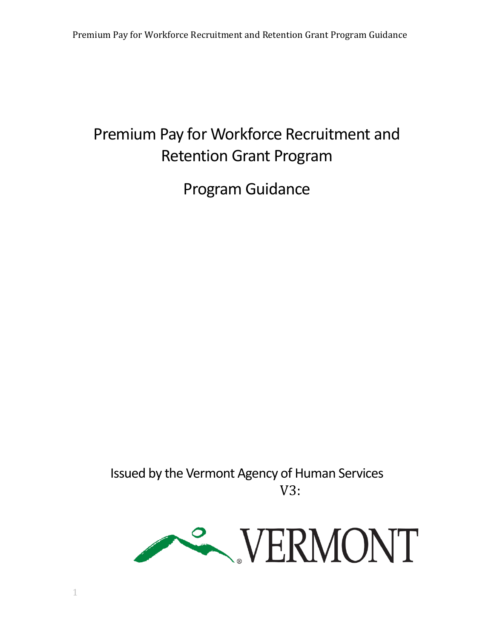Program Guidance

Issued by the Vermont Agency of Human Services V3:

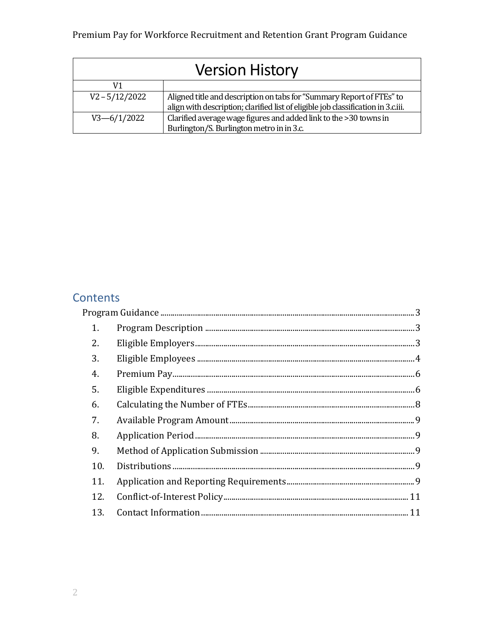| <b>Version History</b> |                                                                                   |  |  |
|------------------------|-----------------------------------------------------------------------------------|--|--|
|                        |                                                                                   |  |  |
| $V2 - 5/12/2022$       | Aligned title and description on tabs for "Summary Report of FTEs" to             |  |  |
|                        | align with description; clarified list of eligible job classification in 3.c.iii. |  |  |
| $V3 - 6/1/2022$        | Clarified average wage figures and added link to the >30 towns in                 |  |  |
|                        | Burlington/S. Burlington metro in in 3.c.                                         |  |  |

# **Contents**

| 1.  | $\label{eq:1} \mbox{Program Description}\; \ldots \mbox{1} \mbox{1} \mbox{1} \mbox{1} \mbox{1} \mbox{1} \mbox{1} \mbox{1} \mbox{1} \mbox{1} \mbox{1} \mbox{1} \mbox{1} \mbox{1} \mbox{1} \mbox{1} \mbox{1} \mbox{1} \mbox{1} \mbox{1} \mbox{1} \mbox{1} \mbox{1} \mbox{1} \mbox{1} \mbox{1} \mbox{1} \mbox{1} \mbox{1} \mbox{1} \mbox{1} \mbox{1} \mbox{1} \mbox{$ |  |
|-----|--------------------------------------------------------------------------------------------------------------------------------------------------------------------------------------------------------------------------------------------------------------------------------------------------------------------------------------------------------------------|--|
| 2.  |                                                                                                                                                                                                                                                                                                                                                                    |  |
| 3.  |                                                                                                                                                                                                                                                                                                                                                                    |  |
| 4.  |                                                                                                                                                                                                                                                                                                                                                                    |  |
| 5.  |                                                                                                                                                                                                                                                                                                                                                                    |  |
| 6.  |                                                                                                                                                                                                                                                                                                                                                                    |  |
| 7.  |                                                                                                                                                                                                                                                                                                                                                                    |  |
| 8.  |                                                                                                                                                                                                                                                                                                                                                                    |  |
| 9.  |                                                                                                                                                                                                                                                                                                                                                                    |  |
| 10. |                                                                                                                                                                                                                                                                                                                                                                    |  |
| 11. |                                                                                                                                                                                                                                                                                                                                                                    |  |
| 12. |                                                                                                                                                                                                                                                                                                                                                                    |  |
| 13. |                                                                                                                                                                                                                                                                                                                                                                    |  |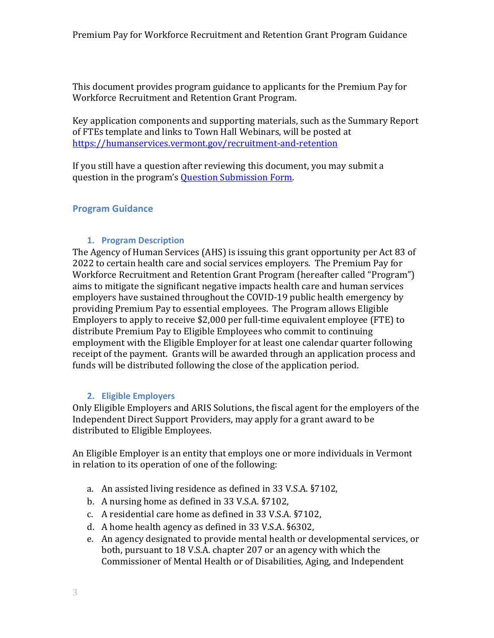This document provides program guidance to applicants for the Premium Pay for Workforce Recruitment and Retention Grant Program.

Key application components and supporting materials, such as the Summary Report of FTEs template and links to Town Hall Webinars, will be posted at <https://humanservices.vermont.gov/recruitment-and-retention>

If you still have a question after reviewing this document, you may submit a question in the program's [Question Submission Form.](https://forms.office.com/Pages/ResponsePage.aspx?id=O5O0IK26PEOcAnDtzHVZxu-gJmt08pRCkBohhqKhgXZUNVpBQ0w0QllXVjBNSThBOU8wTUYzM1VYUS4u)

### <span id="page-2-0"></span>**Program Guidance**

#### <span id="page-2-1"></span>**1. Program Description**

The Agency of Human Services (AHS) is issuing this grant opportunity per Act 83 of 2022 to certain health care and social services employers. The Premium Pay for Workforce Recruitment and Retention Grant Program (hereafter called "Program") aims to mitigate the significant negative impacts health care and human services employers have sustained throughout the COVID-19 public health emergency by providing Premium Pay to essential employees. The Program allows Eligible Employers to apply to receive \$2,000 per full-time equivalent employee (FTE) to distribute Premium Pay to Eligible Employees who commit to continuing employment with the Eligible Employer for at least one calendar quarter following receipt of the payment. Grants will be awarded through an application process and funds will be distributed following the close of the application period.

### <span id="page-2-2"></span>**2. Eligible Employers**

Only Eligible Employers and ARIS Solutions, the fiscal agent for the employers of the Independent Direct Support Providers, may apply for a grant award to be distributed to Eligible Employees.

An Eligible Employer is an entity that employs one or more individuals in Vermont in relation to its operation of one of the following:

- a. An assisted living residence as defined in 33 V.S.A. §7102,
- b. A nursing home as defined in 33 V.S.A. §7102,
- c. A residential care home as defined in 33 V.S.A. §7102,
- d. A home health agency as defined in 33 V.S.A. §6302,
- e. An agency designated to provide mental health or developmental services, or both, pursuant to 18 V.S.A. chapter 207 or an agency with which the Commissioner of Mental Health or of Disabilities, Aging, and Independent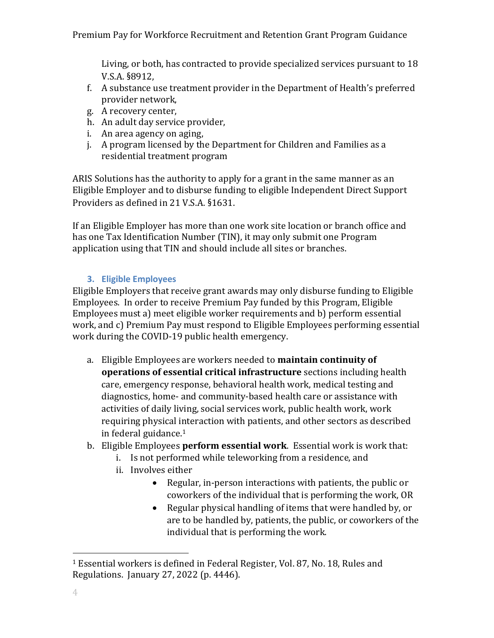Living, or both, has contracted to provide specialized services pursuant to 18 V.S.A. §8912,

- f. A substance use treatment provider in the Department of Health's preferred provider network,
- g. A recovery center,
- h. An adult day service provider,
- i. An area agency on aging,
- j. A program licensed by the Department for Children and Families as a residential treatment program

ARIS Solutions has the authority to apply for a grant in the same manner as an Eligible Employer and to disburse funding to eligible Independent Direct Support Providers as defined in 21 V.S.A. §1631.

If an Eligible Employer has more than one work site location or branch office and has one Tax Identification Number (TIN), it may only submit one Program application using that TIN and should include all sites or branches.

# <span id="page-3-0"></span>**3. Eligible Employees**

Eligible Employers that receive grant awards may only disburse funding to Eligible Employees. In order to receive Premium Pay funded by this Program, Eligible Employees must a) meet eligible worker requirements and b) perform essential work, and c) Premium Pay must respond to Eligible Employees performing essential work during the COVID-19 public health emergency.

- a. Eligible Employees are workers needed to **maintain continuity of operations of essential critical infrastructure** sections including health care, emergency response, behavioral health work, medical testing and diagnostics, home- and community-based health care or assistance with activities of daily living, social services work, public health work, work requiring physical interaction with patients, and other sectors as described in federal guidance.<sup>1</sup>
- b. Eligible Employees **perform essential work**. Essential work is work that:
	- i. Is not performed while teleworking from a residence, and
	- ii. Involves either
		- Regular, in-person interactions with patients, the public or coworkers of the individual that is performing the work, OR
		- Regular physical handling of items that were handled by, or are to be handled by, patients, the public, or coworkers of the individual that is performing the work.

<sup>1</sup> Essential workers is defined in Federal Register, Vol. 87, No. 18, Rules and Regulations. January 27, 2022 (p. 4446).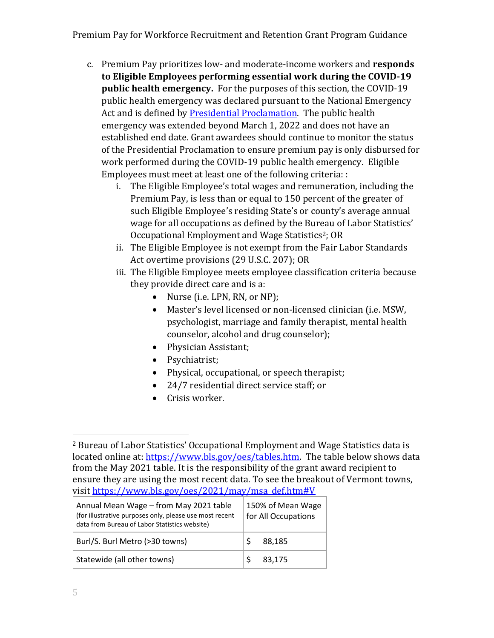- c. Premium Pay prioritizes low- and moderate-income workers and **responds to Eligible Employees performing essential work during the COVID-19 public health emergency.** For the purposes of this section, the COVID-19 public health emergency was declared pursuant to the National Emergency Act and is defined by [Presidential Proclamation.](https://www.federalregister.gov/documents/2022/02/23/2022-03972/continuation-of-the-national-emergency-concerning-the-coronavirus-disease-2019-covid-19-pandemic) The public health emergency was extended beyond March 1, 2022 and does not have an established end date. Grant awardees should continue to monitor the status of the Presidential Proclamation to ensure premium pay is only disbursed for work performed during the COVID-19 public health emergency. Eligible Employees must meet at least one of the following criteria: :
	- i. The Eligible Employee's total wages and remuneration, including the Premium Pay, is less than or equal to 150 percent of the greater of such Eligible Employee's residing State's or county's average annual wage for all occupations as defined by the Bureau of Labor Statistics' Occupational Employment and Wage Statistics<sup>2</sup>; OR
	- ii. The Eligible Employee is not exempt from the Fair Labor Standards Act overtime provisions (29 U.S.C. 207); OR
	- iii. The Eligible Employee meets employee classification criteria because they provide direct care and is a:
		- Nurse (i.e. LPN, RN, or NP);
		- Master's level licensed or non-licensed clinician (i.e. MSW, psychologist, marriage and family therapist, mental health counselor, alcohol and drug counselor);
		- Physician Assistant;
		- Psychiatrist;
		- Physical, occupational, or speech therapist;
		- 24/7 residential direct service staff; or
		- Crisis worker.

<sup>2</sup> Bureau of Labor Statistics' Occupational Employment and Wage Statistics data is located online at: [https://www.bls.gov/oes/tables.htm.](https://www.bls.gov/oes/tables.htm) The table below shows data from the May 2021 table. It is the responsibility of the grant award recipient to ensure they are using the most recent data. To see the breakout of Vermont towns, visit [https://www.bls.gov/oes/2021/may/msa\\_def.htm#V](https://www.bls.gov/oes/2021/may/msa_def.htm#V)

| Annual Mean Wage - from May 2021 table<br>(for illustrative purposes only, please use most recent<br>data from Bureau of Labor Statistics website) | 150% of Mean Wage<br>for All Occupations |  |
|----------------------------------------------------------------------------------------------------------------------------------------------------|------------------------------------------|--|
| Burl/S. Burl Metro (>30 towns)                                                                                                                     | 88.185                                   |  |
| Statewide (all other towns)                                                                                                                        | 83,175                                   |  |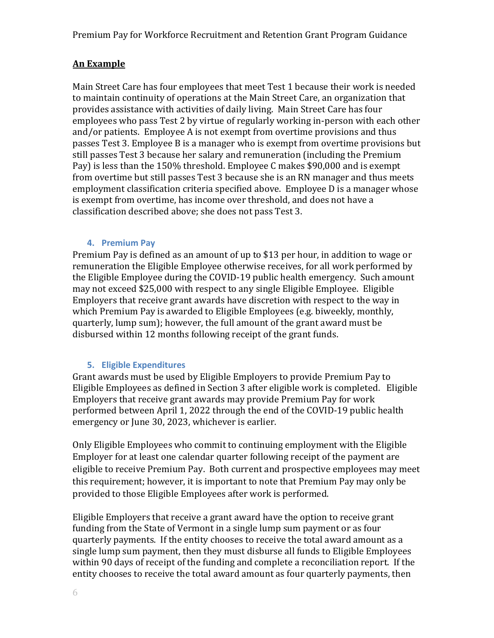# **An Example**

Main Street Care has four employees that meet Test 1 because their work is needed to maintain continuity of operations at the Main Street Care, an organization that provides assistance with activities of daily living. Main Street Care has four employees who pass Test 2 by virtue of regularly working in-person with each other and/or patients. Employee A is not exempt from overtime provisions and thus passes Test 3. Employee B is a manager who is exempt from overtime provisions but still passes Test 3 because her salary and remuneration (including the Premium Pay) is less than the 150% threshold. Employee C makes \$90,000 and is exempt from overtime but still passes Test 3 because she is an RN manager and thus meets employment classification criteria specified above. Employee D is a manager whose is exempt from overtime, has income over threshold, and does not have a classification described above; she does not pass Test 3.

#### <span id="page-5-0"></span>**4. Premium Pay**

Premium Pay is defined as an amount of up to \$13 per hour, in addition to wage or remuneration the Eligible Employee otherwise receives, for all work performed by the Eligible Employee during the COVID-19 public health emergency. Such amount may not exceed \$25,000 with respect to any single Eligible Employee. Eligible Employers that receive grant awards have discretion with respect to the way in which Premium Pay is awarded to Eligible Employees (e.g. biweekly, monthly, quarterly, lump sum); however, the full amount of the grant award must be disbursed within 12 months following receipt of the grant funds.

### <span id="page-5-1"></span>**5. Eligible Expenditures**

Grant awards must be used by Eligible Employers to provide Premium Pay to Eligible Employees as defined in Section 3 after eligible work is completed. Eligible Employers that receive grant awards may provide Premium Pay for work performed between April 1, 2022 through the end of the COVID-19 public health emergency or June 30, 2023, whichever is earlier.

Only Eligible Employees who commit to continuing employment with the Eligible Employer for at least one calendar quarter following receipt of the payment are eligible to receive Premium Pay. Both current and prospective employees may meet this requirement; however, it is important to note that Premium Pay may only be provided to those Eligible Employees after work is performed.

Eligible Employers that receive a grant award have the option to receive grant funding from the State of Vermont in a single lump sum payment or as four quarterly payments. If the entity chooses to receive the total award amount as a single lump sum payment, then they must disburse all funds to Eligible Employees within 90 days of receipt of the funding and complete a reconciliation report. If the entity chooses to receive the total award amount as four quarterly payments, then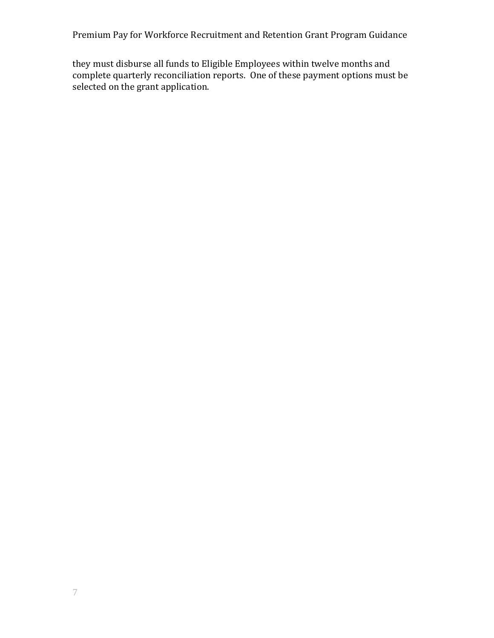they must disburse all funds to Eligible Employees within twelve months and complete quarterly reconciliation reports. One of these payment options must be selected on the grant application.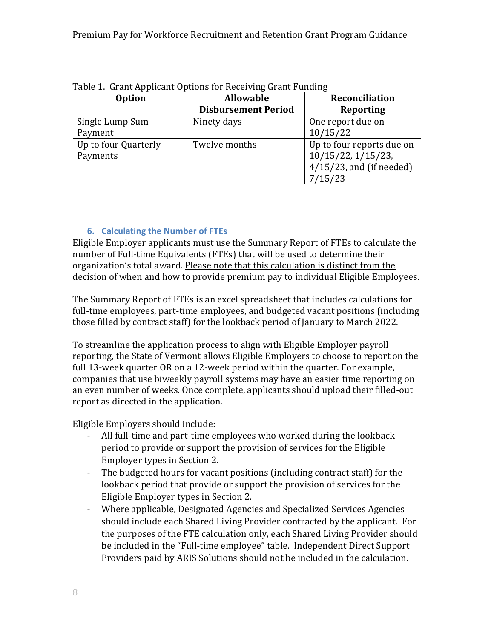| <b>Option</b>        | <b>Allowable</b>           | <b>Reconciliation</b>       |
|----------------------|----------------------------|-----------------------------|
|                      | <b>Disbursement Period</b> | <b>Reporting</b>            |
| Single Lump Sum      | Ninety days                | One report due on           |
| Payment              |                            | 10/15/22                    |
| Up to four Quarterly | Twelve months              | Up to four reports due on   |
| Payments             |                            | $10/15/22$ , $1/15/23$ ,    |
|                      |                            | $4/15/23$ , and (if needed) |
|                      |                            | 7/15/23                     |

Table 1. Grant Applicant Options for Receiving Grant Funding

# <span id="page-7-0"></span>**6. Calculating the Number of FTEs**

Eligible Employer applicants must use the Summary Report of FTEs to calculate the number of Full-time Equivalents (FTEs) that will be used to determine their organization's total award. Please note that this calculation is distinct from the decision of when and how to provide premium pay to individual Eligible Employees.

The Summary Report of FTEs is an excel spreadsheet that includes calculations for full-time employees, part-time employees, and budgeted vacant positions (including those filled by contract staff) for the lookback period of January to March 2022.

To streamline the application process to align with Eligible Employer payroll reporting, the State of Vermont allows Eligible Employers to choose to report on the full 13-week quarter OR on a 12-week period within the quarter. For example, companies that use biweekly payroll systems may have an easier time reporting on an even number of weeks. Once complete, applicants should upload their filled-out report as directed in the application.

Eligible Employers should include:

- All full-time and part-time employees who worked during the lookback period to provide or support the provision of services for the Eligible Employer types in Section 2.
- The budgeted hours for vacant positions (including contract staff) for the lookback period that provide or support the provision of services for the Eligible Employer types in Section 2.
- Where applicable, Designated Agencies and Specialized Services Agencies should include each Shared Living Provider contracted by the applicant. For the purposes of the FTE calculation only, each Shared Living Provider should be included in the "Full-time employee" table. Independent Direct Support Providers paid by ARIS Solutions should not be included in the calculation.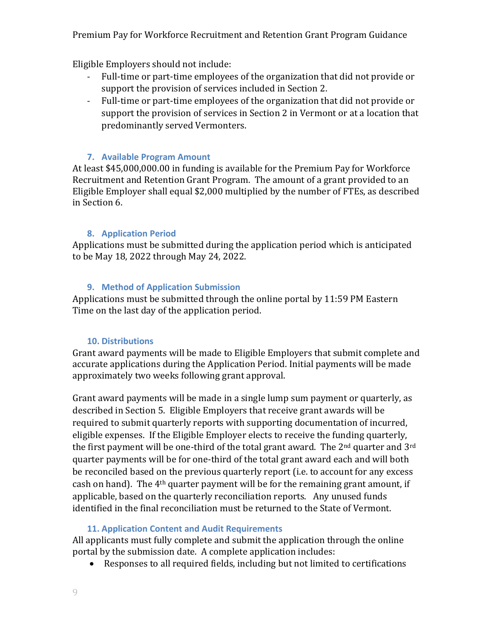Eligible Employers should not include:

- Full-time or part-time employees of the organization that did not provide or support the provision of services included in Section 2.
- Full-time or part-time employees of the organization that did not provide or support the provision of services in Section 2 in Vermont or at a location that predominantly served Vermonters.

### <span id="page-8-0"></span>**7. Available Program Amount**

At least \$45,000,000.00 in funding is available for the Premium Pay for Workforce Recruitment and Retention Grant Program. The amount of a grant provided to an Eligible Employer shall equal \$2,000 multiplied by the number of FTEs, as described in Section 6.

# <span id="page-8-1"></span>**8. Application Period**

Applications must be submitted during the application period which is anticipated to be May 18, 2022 through May 24, 2022.

# <span id="page-8-2"></span>**9. Method of Application Submission**

Applications must be submitted through the online portal by 11:59 PM Eastern Time on the last day of the application period.

### <span id="page-8-3"></span>**10. Distributions**

Grant award payments will be made to Eligible Employers that submit complete and accurate applications during the Application Period. Initial payments will be made approximately two weeks following grant approval.

Grant award payments will be made in a single lump sum payment or quarterly, as described in Section 5. Eligible Employers that receive grant awards will be required to submit quarterly reports with supporting documentation of incurred, eligible expenses. If the Eligible Employer elects to receive the funding quarterly, the first payment will be one-third of the total grant award. The 2<sup>nd</sup> quarter and 3<sup>rd</sup> quarter payments will be for one-third of the total grant award each and will both be reconciled based on the previous quarterly report (i.e. to account for any excess cash on hand). The  $4<sup>th</sup>$  quarter payment will be for the remaining grant amount, if applicable, based on the quarterly reconciliation reports. Any unused funds identified in the final reconciliation must be returned to the State of Vermont.

# <span id="page-8-4"></span>**11. Application Content and Audit Requirements**

All applicants must fully complete and submit the application through the online portal by the submission date. A complete application includes:

• Responses to all required fields, including but not limited to certifications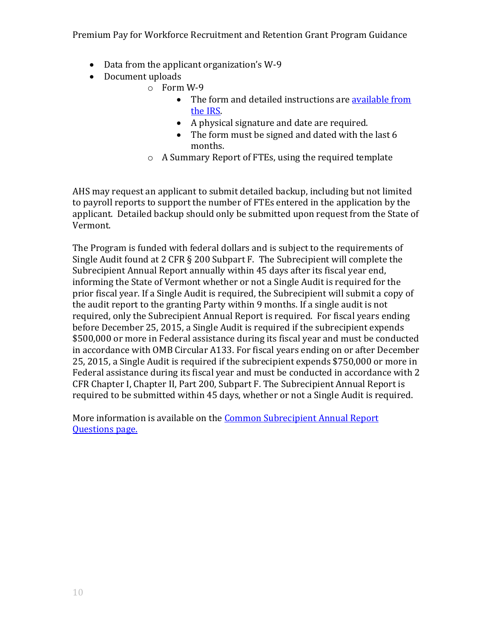- Data from the applicant organization's W-9
- Document uploads
	- o Form W-9
		- The form and detailed instructions are available from [the IRS.](https://www.irs.gov/pub/irs-pdf/fw9.pdf)
		- A physical signature and date are required.
		- The form must be signed and dated with the last 6 months.
		- o A Summary Report of FTEs, using the required template

AHS may request an applicant to submit detailed backup, including but not limited to payroll reports to support the number of FTEs entered in the application by the applicant. Detailed backup should only be submitted upon request from the State of Vermont.

The Program is funded with federal dollars and is subject to the requirements of Single Audit found at 2 CFR § 200 Subpart F. The Subrecipient will complete the Subrecipient Annual Report annually within 45 days after its fiscal year end, informing the State of Vermont whether or not a Single Audit is required for the prior fiscal year. If a Single Audit is required, the Subrecipient will submit a copy of the audit report to the granting Party within 9 months. If a single audit is not required, only the Subrecipient Annual Report is required. For fiscal years ending before December 25, 2015, a Single Audit is required if the subrecipient expends \$500,000 or more in Federal assistance during its fiscal year and must be conducted in accordance with OMB Circular A133. For fiscal years ending on or after December 25, 2015, a Single Audit is required if the subrecipient expends \$750,000 or more in Federal assistance during its fiscal year and must be conducted in accordance with 2 CFR Chapter I, Chapter II, Part 200, Subpart F. The Subrecipient Annual Report is required to be submitted within 45 days, whether or not a Single Audit is required.

More information is available on the [Common Subrecipient Annual Report](https://finance.vermont.gov/training-and-support/faqs-and-glossaries/grants-faq/sar)  [Questions page.](https://finance.vermont.gov/training-and-support/faqs-and-glossaries/grants-faq/sar)